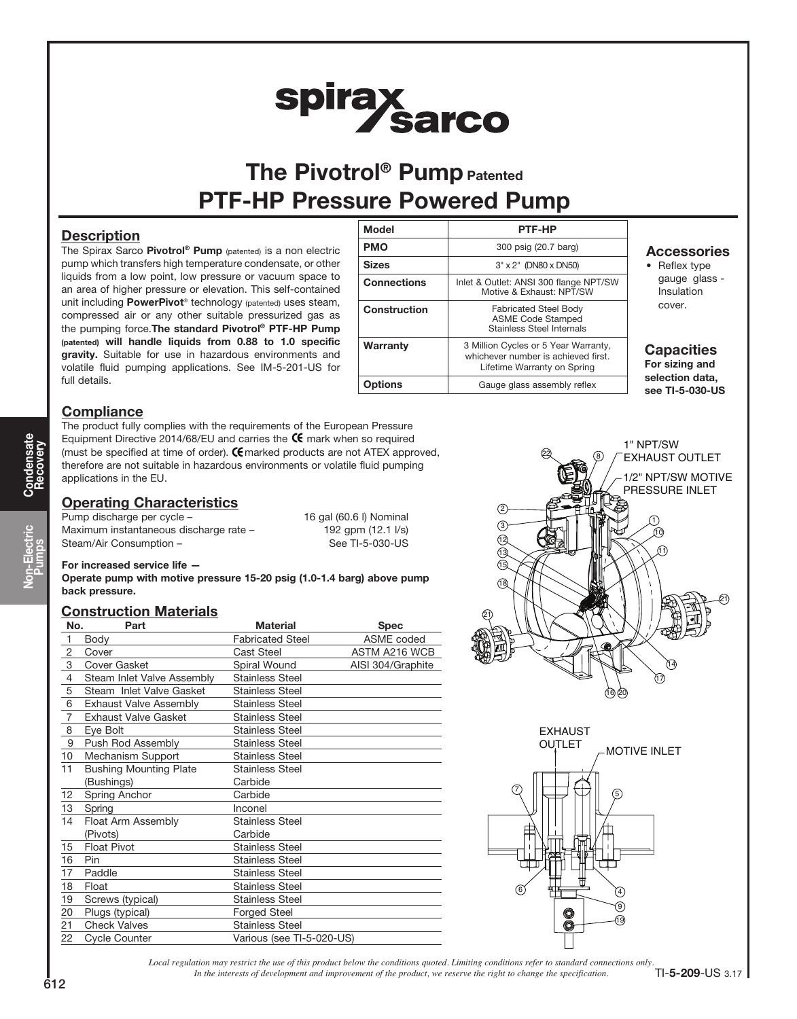# spirax<br>Sarco

# The Pivotrol<sup>®</sup> Pump Patented PTF-HP Pressure Powered Pump

# **Description**

The Spirax Sarco Pivotrol® Pump (patented) is a non electric pump which transfers high temperature condensate, or other liquids from a low point, low pressure or vacuum space to an area of higher pressure or elevation. This self-contained unit including PowerPivot<sup>®</sup> technology (patented) uses steam, compressed air or any other suitable pressurized gas as the pumping force.The standard Pivotrol® PTF-HP Pump (patented) will handle liquids from 0.88 to 1.0 specific gravity. Suitable for use in hazardous environments and volatile fluid pumping applications. See IM-5-201-US for full details.

| <b>Model</b>       | <b>PTF-HP</b>                                                                                              |
|--------------------|------------------------------------------------------------------------------------------------------------|
| <b>PMO</b>         | 300 psig (20.7 barg)                                                                                       |
| <b>Sizes</b>       | 3" x 2" (DN80 x DN50)                                                                                      |
| <b>Connections</b> | Inlet & Outlet: ANSI 300 flange NPT/SW<br>Motive & Exhaust: NPT/SW                                         |
| Construction       | <b>Fabricated Steel Body</b><br><b>ASME Code Stamped</b><br>Stainless Steel Internals                      |
| Warranty           | 3 Million Cycles or 5 Year Warranty,<br>whichever number is achieved first.<br>Lifetime Warranty on Spring |
| Options            | Gauge glass assembly reflex                                                                                |

# Accessories

• Reflex type gauge glass - Insulation cover.

# **Capacities**

For sizing and selection data, see TI-5-030-US

# **Compliance**

The product fully complies with the requirements of the European Pressure Equipment Directive 2014/68/EU and carries the  $\mathsf{\mathfrak{C}}$  mark when so required (must be specified at time of order).  $C$  marked products are not ATEX approved, therefore are not suitable in hazardous environments or volatile fluid pumping applications in the EU.

# **Operating Characteristics**

Pump discharge per cycle – 16 gal (60.6 l) Nominal Maximum instantaneous discharge rate – 192 gpm (12.1 l/s) Steam/Air Consumption – See TI-5-030-US

## For increased service life —

Operate pump with motive pressure 15-20 psig (1.0-1.4 barg) above pump back pressure.

# Construction Materials

| No.            | Part                          | <b>Material</b>           | <b>Spec</b>       |
|----------------|-------------------------------|---------------------------|-------------------|
| $\mathbf{1}$   | Body                          | <b>Fabricated Steel</b>   | ASME coded        |
| 2              | Cover                         | <b>Cast Steel</b>         | ASTM A216 WCB     |
| 3              | Cover Gasket                  | Spiral Wound              | AISI 304/Graphite |
| $\overline{4}$ | Steam Inlet Valve Assembly    | <b>Stainless Steel</b>    |                   |
| 5              | Steam Inlet Valve Gasket      | <b>Stainless Steel</b>    |                   |
| 6              | <b>Exhaust Valve Assembly</b> | <b>Stainless Steel</b>    |                   |
| 7              | <b>Exhaust Valve Gasket</b>   | <b>Stainless Steel</b>    |                   |
| 8              | Eye Bolt                      | <b>Stainless Steel</b>    |                   |
| 9              | Push Rod Assembly             | <b>Stainless Steel</b>    |                   |
| 10             | Mechanism Support             | <b>Stainless Steel</b>    |                   |
| 11             | <b>Bushing Mounting Plate</b> | <b>Stainless Steel</b>    |                   |
|                | (Bushings)                    | Carbide                   |                   |
| 12             | Spring Anchor                 | Carbide                   |                   |
| 13             | Spring                        | Inconel                   |                   |
| 14             | Float Arm Assembly            | <b>Stainless Steel</b>    |                   |
|                | (Pivots)                      | Carbide                   |                   |
| 15             | <b>Float Pivot</b>            | <b>Stainless Steel</b>    |                   |
| 16             | <b>Pin</b>                    | <b>Stainless Steel</b>    |                   |
| 17             | Paddle                        | <b>Stainless Steel</b>    |                   |
| 18             | Float                         | <b>Stainless Steel</b>    |                   |
| 19             | Screws (typical)              | <b>Stainless Steel</b>    |                   |
| 20             | Plugs (typical)               | <b>Forged Steel</b>       |                   |
| 21             | <b>Check Valves</b>           | <b>Stainless Steel</b>    |                   |
| 22             | <b>Cycle Counter</b>          | Various (see TI-5-020-US) |                   |





*Local regulation may restrict the use of this product below the conditions quoted. Limiting conditions refer to standard connections only. In the interests of development and improvement of the product, we reserve the right to change the specification.* TI-5-209-US 3.17